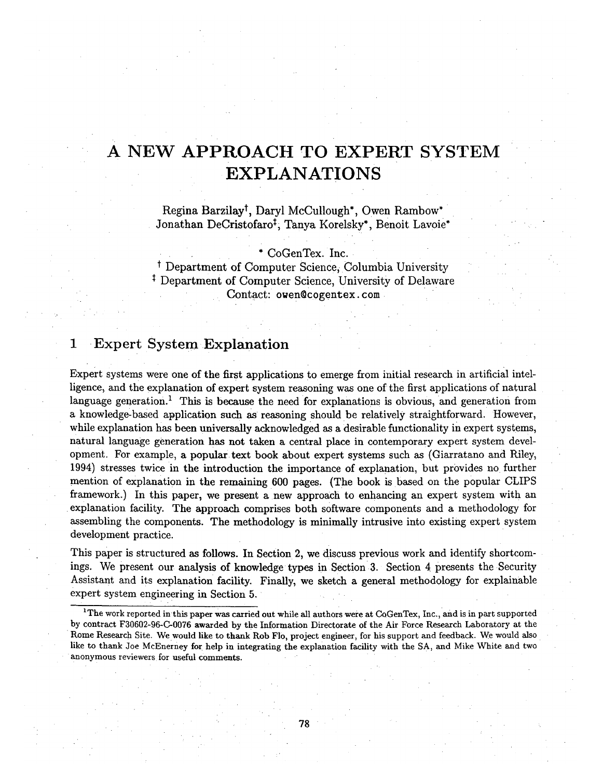# **A NEW APPROACH TO EXPERT SYSTEM EXPLANATIONS**

Regina Barzilay<sup>t</sup>, Daryl McCullough\*, Owen Rambow\* Jonathan DeCristofaro<sup>t</sup>, Tanya Korelsky\*, Benoit Lavoie\*

\* CoGenTex. Inc.

<sup>†</sup> Department of Computer Science, Columbia University <sup>‡</sup> Department of Computer Science, University of Delaware Contact: owen©cogentex, com

# **1 Expert System Explanation**

Expert systems were one of the first applications to emerge from initial research in artificial intelligence, and the explanation of expert system reasoning was one of the first applications of natural language generation.<sup>1</sup> This is because the need for explanations is obvious, and generation from a knowledge-based application such as reasoning should be relatively straightforward. However, while explanation has been universally acknowledged as a desirable functionality in expert systems, natural language generation has not taken a central place in contemporary expert system development. For example, a popular.text book about expert systems such as (Giarratano and Riley, 1994) stresses twice in the introduction the importance of explanation, but provides no further mention of explanation in the remaining 600 pages. (The book is based on the popular CLIPS framework.) In this paper, we present a new approach to enhancing an expert system with an explanation facility. The approach comprises both software components and a methodology for assembling the components. The methodology is minimally intrusive into existing expert system development practice.

This paper is structured as follows. In Section 2, we discuss previous work and identify shortcomings. We present our analysis of knowledge types in Section 3. Section 4 presents the Security Assistant and its explanation facility. Finally, we sketch a general methodology for explainable expert system engineering in Section 5.

<sup>1</sup>The work reported in this paper was carried out while all authors were at CoGenTex, Inc., and is in part supported by contract F30602-96-C-0076 awarded by the Information Directorate of the Air Force Research Laboratory at the Rome Research Site. We would like to thank Rob Flo, project engineer, for his support and feedback. We would also like to thank Joe McEnerney for help in integrating the explanation facility with the SA, and Mike White and two anonymous reviewers for useful comments.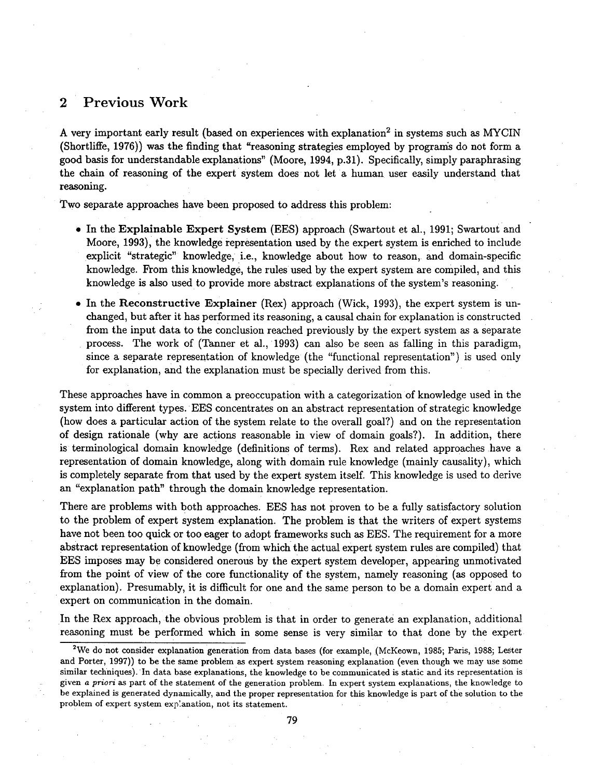### **2 Previous Work**

A very important early result (based on experiences with explanation<sup>2</sup> in systems such as MYCIN (Shortliffe, 1976)) was the finding that "reasoning strategies employed by programs do not form a good basis for understandable explanations" (Moore, 1994, p.31). Specifically, simply paraphrasing the chain of reasoning of the expert system does not let a human user easily understand that reasoning.

Two separate approaches have been proposed to address this problem:

- In the Explainable Expert System (EES) approach (Swartout et al., 1991; Swartout and Moore, 1993), the knowledge representation used by the expert system is enriched to include explicit "strategic" knowledge, i.e., knowledge about how to reason, and domain-specific knowledge. From this knowledge, the rules used by the expert system are compiled, and this knowledge is also used to provide more abstract explanations of the system's reasoning.
- In the Reconstructive Explainer (Rex) approach (Wick, 1993), the expert system is unchanged, but after it has performed its reasoning, a causal chain for explanation is constructed from the input data to the conclusion reached previously by the expert system as a separate process. The work of (Tanner et al., 1993) can also be seen as falling in this paradigm, since a separate representation of knowledge (the "functional representation") is used only for explanation, and the explanation must be specially derived from this.

These approaches have in common a preoccupation with a categorization of knowledge used in the system into different types. EES concentrates on an abstract representation of strategic knowledge (how does a particular action of the system relate to the overall goal?) and on the representation of design rationale (why are actions reasonable in view of domain goals?). In addition, there is terminological domain knowledge (definitions of terms). Rex and related approaches have a representation of domain knowledge, along with domain rule knowledge (mainly causality), which is completely separate from that used by the expert system itself. This knowledge is used to derive an "explanation path" through the domain knowledge representation.

There are problems with both approaches. EES has not proven to be a fully satisfactory solution to the problem of expert system explanation. The problem is that the writers of expert systems have not been too quick or too eager to adopt frameworks such as EES. The requirement for a more abstract representation of knowledge (from which the actual expert system rules are compiled) that EES imposes may be considered onerous by the expert system developer, appearing unmotivated from the point of view of the core functionality of the system, namely reasoning (as opposed to explanation). Presumably, it is difficult for one and the same person to be a domain expert and a expert on communication in the domain.

In the Rex approach, the obvious problem is that in order to generate an explanation, additional reasoning must be performed which in some sense is very similar to that done by the expert

<sup>&</sup>lt;sup>2</sup>We do not consider explanation generation from data bases (for example, (McKeown, 1985; Paris, 1988; Lester and Porter, 1997)) to be the same problem as expert system reasoning explanation (even though we may use some similar techniques). In data base explanations, the knowledge to be communicated is static and its representation is given *a priori as part* of the statement of the generation problem. In expert system explanations, the knowledge to be explained is generated dynamically, and the proper representation for this knowledge is part of the solution to the problem of expert system exp:anation, not its statement.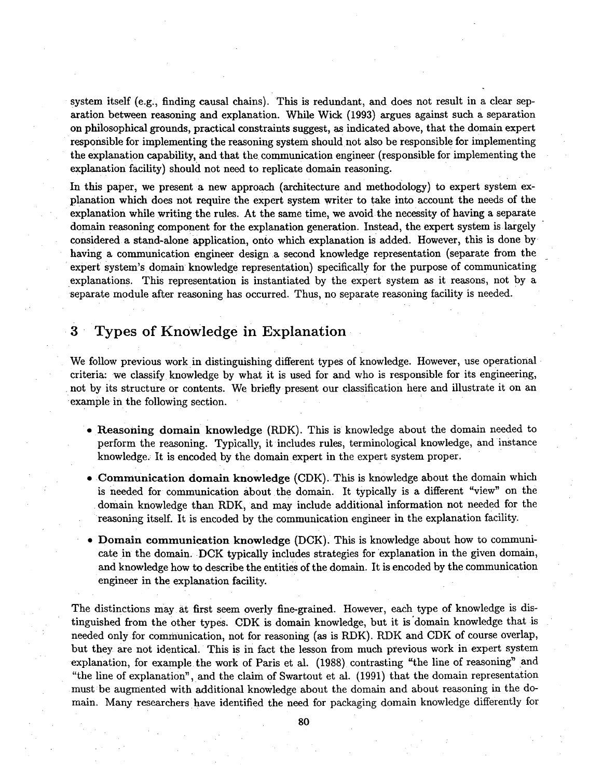system itself (e.g., finding causal chains). This is redundant, and does not result in a clear separation between reasoning and explanation. While Wick (1993) argues against such a separation on philosophical grounds, practical constraints suggest, as indicated above, that the domain expert responsible for implementing the reasoning system should not also be responsible for implementing the explanation capability, and that the communication engineer (responsible for implementing the explanation facility) should not need to replicate domain reasoning.

In this paper, we present a new approach (architecture and methodology) to expert system explanation which does not require the expert system writer to take into account the needs of the explanation while writing the rules. At the same time, we avoid the necessity of having a separate domain reasoning component for the explanation generation. Instead, the expert system is largely considered a stand-alone application, onto which explanation is added. However, this is done by having a communication engineer design a second knowledge representation (separate from the expert system's domain knowledge representation) specifically for the purpose of communicating explanations. This representation is instantiated by the expert system as it reasons, not by a separate module after reasoning has occurred. Thus, no separate reasoning facility is needed.

# **3** Types of Knowledge in Explanation

We follow previous work in distinguishing different types of knowledge. However, use operational criteria: we classify knowledge by what it is used for and who is responsible for its engineering, not by its structure or contents. We briefly present our classification here and illustrate it on an example in the following section.

- Reasoning domain knowledge (RDK). This is knowledge about the domain needed to perform the reasoning. Typically, it includes rules, terminological knowledge, and instance knowledge.: It is encoded by the domain expert in the expert system proper.
- Communication domain knowledge (CDK). This is knowledge about the domain which is needed for communication about the domain. It typically is a different "view" on the • domain knowledge than RDK, and may include additional information not needed for the reasoning itself. It is encoded by the communication engineer in the explanation facility.
- Domain communication knowledge (DCK). This is knowledge about how to communicate in the domain. DCK typically includes strategies for explanation in the given domain, and knowledge how to describe the entities of the domain. It is encoded by the communication engineer in the explanation facility.

The distinctions may at first seem overly fine-grained. However, each type of knowledge is distinguished from the other types. CDK is domain knowledge, but it is'domain knowledge that is needed only for communication, not for reasoning (as is RDK). RDK and CDK of course overlap, but they are not identical. This is in fact the lesson from much previous work in expert system explanation, for example the work of Paris et al. (1988) contrasting "the line of reasoning" and "the line of explanation", and the claim of Swartout et al. (1991) that the domain representation must be augmented with additional knowledge about the domain and about reasoning in the domain. Many researchers have identified the need for packaging domain knowledge differently for

**80**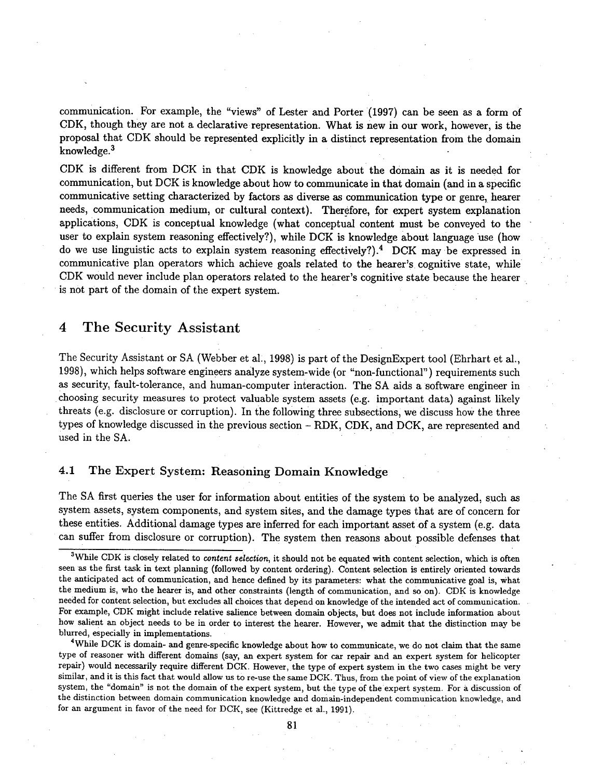communication. For example, the "views" of Lester and Porter (1997) can be seen as a form of CDK, though they are not a declarative representation. What is new in our work, however, is the proposal that CDK should be represented explicitly in a distinct representation from the domain knowledge. 3

CDK is different from DCK in that CDK is knowledge about the domain as it is needed for communication, but DCK is knowledge about how to communicate in that domain (and in a specific communicative setting characterized by factors as diverse as communication type or genre, hearer needs, communication medium, or cultural context). Therefore, for expert system explanation applications, CDK is conceptual knowledge (what conceptual content must be conveyed to the user to explain system reasoning effectively?), while DCK is knowledge about language use (how do we use linguistic acts to explain system reasoning effectively?).<sup>4</sup> DCK may be expressed in communicative plan operators which achieve goals related to the hearer's cognitive state, while CDK would never include plan operators related to the hearer's cognitive state because the hearer is not part of the domain of the expert system.

### **4 The Security Assistant**

The Security Assistant or SA (Webber et al., 1998) is part of the DesignExpert tool (Ehrhart et al., 1998), which helps software engineers analyze system-wide(or "non-functional") requirements such as security, fault-tolerance, and human-computer interaction. The SA aids a software engineer in • Choosing security measures to protect valuable system assets (e.g. important data) against likely threats (e.g. disclosure or corruption). In the following three subsections, we discuss how the three types of knowledge discussed in the previous section - RDK, CDK, and DCK, are represented and used in the SA.

### 4.1 The Expert System: Reasoning Domain Knowledge

The SA first queries the user for information about entities of the system to be analyzed, such as system assets, system components, and system sites, and the damage types that are of concern for these entities. Additional damage types are inferred for each important asset of a system (e.g. data can suffer from disclosure or corruption). The system then reasons about possible defenses that

4While DCK is domain- and genre-specific knowledge about how to communicate, we do not claim that the same type of reasoner with different domains (say, an expert system for car repair and an expert system for helicopter repair) would necessarily require different DCK. However, the type of expert system in the two cases might be very similar, and it is this fact that would allow us to re-use the same DCK. Thus, from the point of view of the explanation system, the "domain" is not the domain of the expert system, but the type of the expert system. For a discussion of the distinction between domain communication knowledge and domain-independent communication knowledge, and for an argument in favor of the need for DCK, see (Kittredge et al., 1991).

<sup>&</sup>lt;sup>3</sup>While CDK is closely related to *content selection*, it should not be equated with content selection, which is often seen as the first task in text planning (followed by content ordering). Content selection is entirely oriented towards the anticipated act of communication, and hence defined by its parameters: what the communicative goal is, what the medium is, who the hearer is, and other constraints (length of communication, and so on). CDK is knowledge needed for content selection, but excludes all choices that depend on knowledge of the intended act of communication. For example, CDK might include relative salience between domain objects, but does not include information about how salient an object needs to be in order to interest the hearer. However, we admit that the distinction may be blurred, especially in implementations.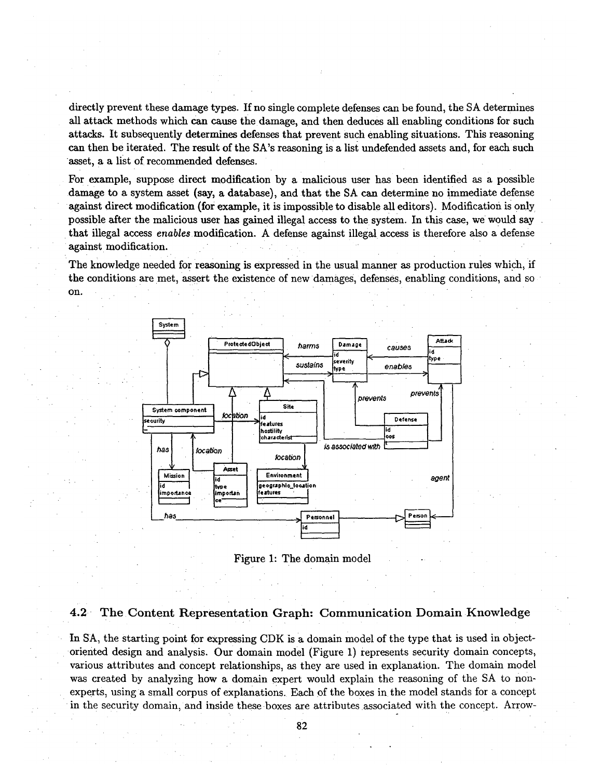directly prevent these damage types. If no single complete defenses can be found, the SA determines all attack methods which can cause the damage, and then deduces all enabling conditions for such attacks. It subsequently determines defenses that prevent such enabling situations. This reasoning can then be iterated. The result of the SA's reasoning is a list undefended assets and, for each such asset, a a list of recommended defenses.

For example, suppose direct modification by a malicious user has been identified as a possible • damage to a system asset (say, a database), and that the SA can determine no immediate defense against direct modification (for example, it is impossible to disable all editors). Modification is only possible after the malicious user has gained illegal access to the system. In this case, we would say that illegal access *enables modification.* A defense against illegal access is therefore also a defense against modification.

The knowledge needed for reasoning is expressed in the usual manner as production rules which, if the conditions are met, assert the existence of new damages, defenses, enabling conditions, and so On.



Figure 1: The domain model

#### 4.2 The Content Representation Graph: Communication Domain Knowledge

In SA, the starting point for expressing CDK is a domain model of the type that is used in objectoriented design and analysis. Our domain model (Figure 1) represents security domain concepts, various attributes and Concept relationships, as they are used in explanation. The domain model was created by analyzing how a domain expert would explain the reasoning of the SA to nonexperts, using a small corpus of explanations. Each of the boxes in the model stands for a concept in the security domain, and inside these boxes are attributes associated with the concept. Arrow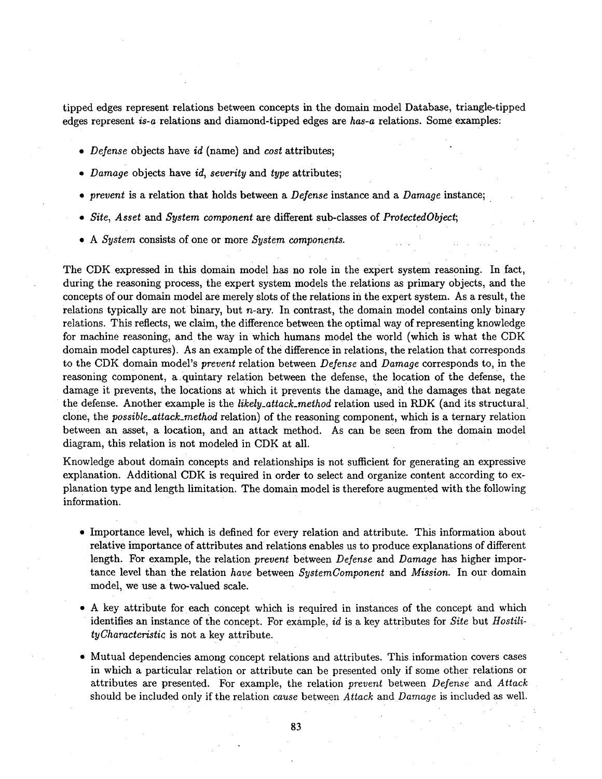tipped edges represent relations between concepts in the domain model Database, triangle-tipped edges represent *is-a* relations and diamond-tipped edges are *has-a* relations. Some examples:

- *Defense* objects have *id* (name) and *cost* attributes;
- *Damage* objects have *id, severity* and *type* attributes;
- *prevent* is a relation that holds between a *Defense* instance and a *Damage* instance;
- *Site, Asset* and *System component are* different sub-classes of *ProtectedObject;*
- A *System* consists of one or more *System components*.

The CDK expressed in this domain model has no role in the expert system reasoning. In fact, during the reasoning process, the expert system models the relations as primary objects, and the concepts of our domain model are merely slots of the relations in the expert system. As a result, the relations typically are not binary, but  $n$ -ary. In contrast, the domain model contains only binary relations. This reflects, we claim, the difference between the optimal way of representing knowledge for machine reasoning, and the way in which humans model the world (which is what the CDK domain model captures). As an example of the difference in relations, the relation that corresponds to the CDK domain model's *prevent* relation between *Defense* and *Damage* corresponds to, in the reasoning component, a.quintary relation between the defense, the location of the defense, the damage it prevents, the locations at which it prevents the damage, and the damages that negate the defense. Another example is the *likely\_attack\_method* relation used in RDK (and its structural clone, the *possible\_attack\_method* relation) of the reasoning component, which is a ternary relation between an asset, a location, and an attack method. As can be seen from the domain model diagram, this relation is not modeled in CDK at all.

Knowledge about domain Concepts and relationships is not sufficient for generating an expressive explanation. Additional CDK is required in order to select and organize content according to ex-Planation type and length limitation. The domain model is therefore augmented with the following information.

- Importance level, which is defined for every relation and attribute. This information about relative importance of attributes and relations enables us to produce explanations of different length. For example, the relation *prevent* between *Defense* and *Damage* has higher importance level than the relation *have* between *SystemComponent and Mission. •* In our domain model, we use a two-valued scale.
- A key attribute for each concept which is required in instances of the concept and which identifies an instance of the concept. For example, *id* is a key attributes for *Site* but *HostilityCharacteristi¢* is not a key attribute.
- Mutual dependencies among concept relations and attributes. This information covers cases in which a particular relation or attribute can be presented only if some other relations or attributes are presented. For example, the relation *prevent* between *Defense* and *Attack*  should be included only if the relation *cause* between *Attack* and *Damage* is included as well.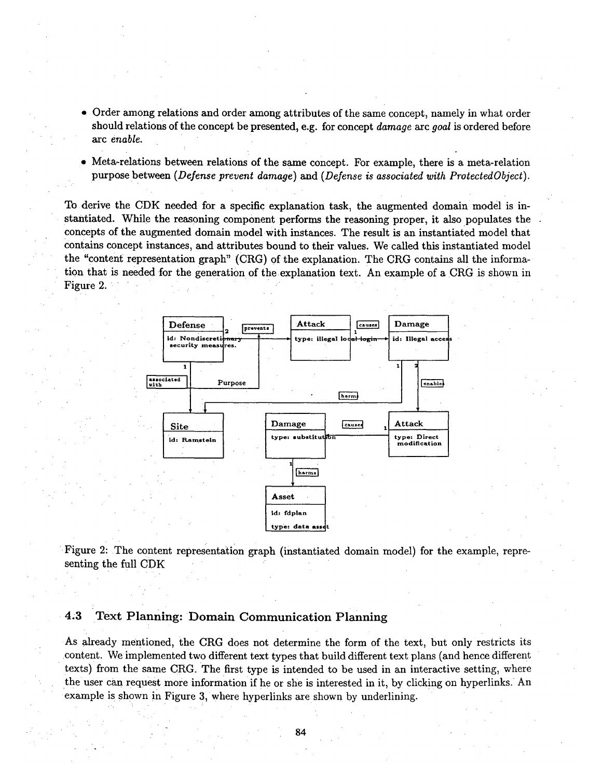- **Order among relations and order among attributes of the same concept, namely in what order should relations of the concept be presented, e.g. for concept** *damage arc goal* **is ordered before**  *arc enable.*
- **Meta-relations between relations of the same concept. For example, there is a meta-relation purpose between** *(Defense prevent damage) and (Defense is associated with ProtectedObject).*

**To derive the CDK needed for a specific explanation task, the augmented domain model is instantiated. While the reasoning component performs the reasoning proper, it also populates the**  concepts of the augmented domain model with instances. The result is an instantiated model that **contains concept instances, and attributes bound to their values. We called this instantiated model**  the "content representation graph" (CRG) of the explanation. The CRG contains all the informa**tion that is needed for the generation of the explanation text. An example of a CRG is shown in Figure 2,** 



**Figure 2: The content representation graph (instantiated domain model) for the example, representing the full CDK** 

### **4.3 Text Planning: Domain Communication Planning**

As already mentioned, the CRG does not determine the form of the text, but only restricts its **• content. We implemented two different text types that build different text plans (and hence different texts) from the same CRG. The first type is intended to be used in an interactive setting, where the user can request more information if he or she is interested in it,** by clicking on hyperlinks. An example is shown in Figure 3, where hyperlinks are shown by underlining.

i|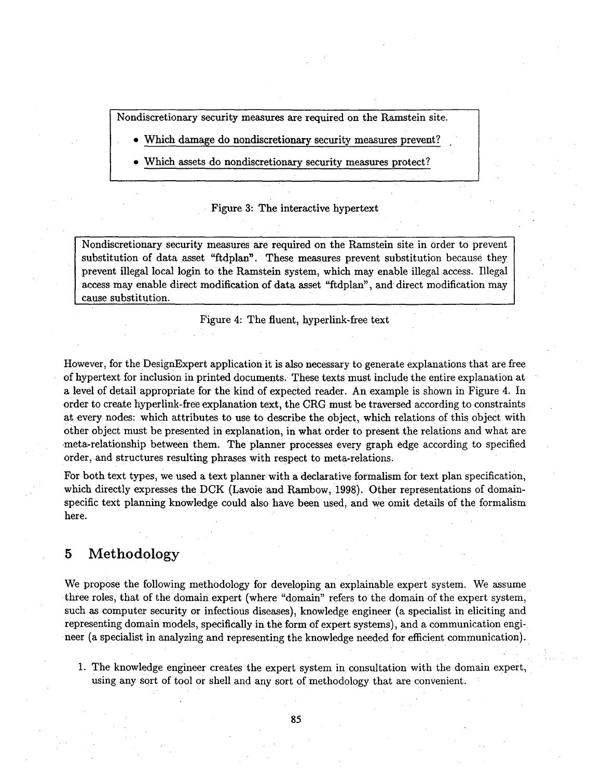Nondiscretionary security measures are required on the Ramstein site.

- Which damage do nondiscretionary security measures prevent?
- Which assets do nondiscretionary security measures protect?

#### Figure 3: The interactive hypertext

Nondiscretionary security measures are required on the Ramstein site in order to prevent substitution of data asset "ftdplan'. These measures prevent substitution because they prevent illegal local login to the Ramstein system, which may enable illegal access. Illegal access may enable direct modification of data asset "ftdplan", and direct modification may cause substitution.

Figure 4: The fluent, hyperlink-free text

However, for the DesignExpert application it is also necessary to generate explanations that are free of hypertext for inclusion in printed documents. • These texts must include the entire explanation at a level of detail appropriate for the kind of expected reader. An example is shown in Figure 4. In order to create hyperlink-free explanation text, the CRG must be traversed according to constraints at every nodes: which attributes to use to describe the object, which relations of this object with other •object must be presented in explanation, in what order to present the relations and what are -meta-relationship between them. The planner processes every graph edge according to specified order, and structures resulting phrases with respect to meta-relations.

For both text types, we used a text planner with a declarative formalism for text plan specification, which directly expresses the DCK (Lavoie and Rambow, 1998). Other representations of domainspecific text planning knowledge could also have been used, and we omit details of the formalism here.

# 5 Methodology

We propose the following methodology for developing an explainable expert system. We assume three roles, that of the domain expert (where "domain" refers to the domain of the expert system, such as computer security or infectious diseases), knowledge engineer (a specialist in eliciting and representing domain models, specifically in the form of expert systems), and a communication engineer (a specialist in analyzing and representing the knowledge needed for efficient communication).

1. The knowledge engineer creates the expert system in consultation with the domain expert, using any sort of tool or shell and any sort of methodology that are convenient.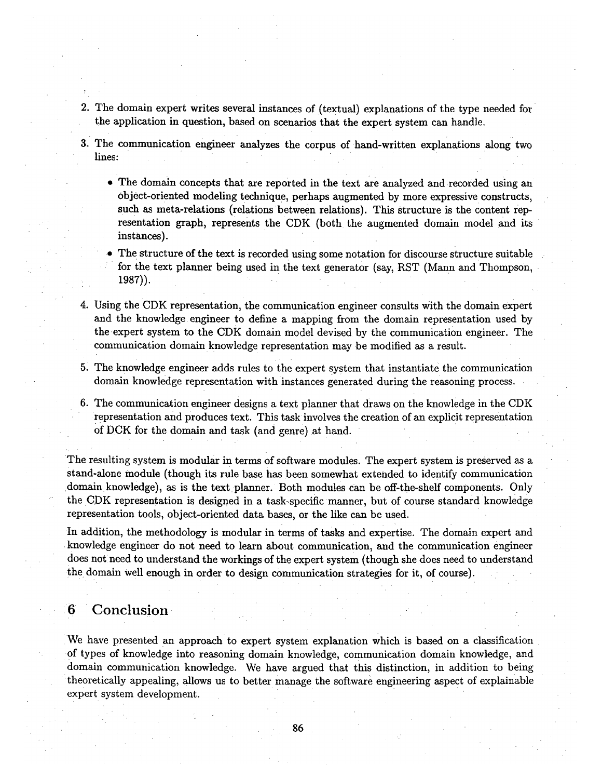- 2. The domain expert writes several instances of (textual) explanations of the type needed for the application in question, based on scenarios that the expert system can handle.
- . The communication engineer analyzes the corpus of hand-written explanations along two lines:
	- The domain concepts that are reported in the text are analyzed and recorded using an object-oriented modeling technique, perhaps augmented by more expressive• constructs, such as meta-relations (relations between relations). This structure is the content representation graph, represents the CDK (both the augmented domain model and its instances).
	- .The structure of the text is recorded using some notation for discourse structure suitable for the text planner being used in the text generator (say, RST (Mann and Thompson, 1987)).
- 4. Using the CDK representation, the communication engineer consults With the domain expert and the knowledge engineer to define a mapping from the domain representation used by the.expert system to the CDK domain model devised by the communication engineer. The communication domain knowledge representation may be modified as a result.
- 5: The knowledge engineer adds rules to the expert System that instantiate the communication domain knowledge representation with instances generated during the reasoning process.
- 6. The communication engineer designs a text planner that draws on the knowledge in the CDK representation and produces text. This task involves the creation of an explicit representation of DCK for the domain and task (and genre) at hand.

The resulting system is modular in terms of software modules. The expert system is preserved as a Stand-alone module (though its rule base has been somewhat extended to identify communication domain knowledge), as is the text planner. Both modules can be off-the-shelf components. Only the CDK representation is designed in a task-specific manner, but of course standard knowledge representation tools, object-oriented data bases, or the like can be used.

In addition, the methodology is modular in terms of tasks and expertise. The domain expert and • knowledge engineer do not need to learn about communication , and the communication engineer does not need to understand the workings of the expert system (though she does need to understand the domain well enough in order to design communication strategies for it, of course).

### :6 •Conclusion

We have presented an approach to expert system explanation which is based on a classification of types of knowledge into reasoning domain knowledge, communication domain knowledge, and domain communication knowledge. We have argued that this distinction, in addition to being theoretically appealing, allows us to better manage the software engineering aspect of explainable expert system development.